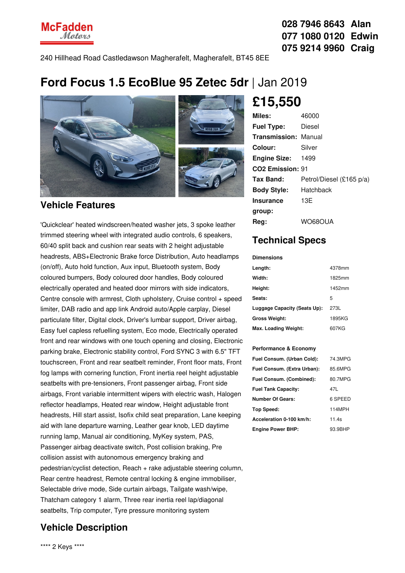240 Hillhead Road Castledawson Magherafelt, Magherafelt, BT45 8EE

# **Ford Focus 1.5 EcoBlue 95 Zetec 5dr** | Jan 2019



## **Vehicle Features**

'Quickclear' heated windscreen/heated washer jets, 3 spoke leather trimmed steering wheel with integrated audio controls, 6 speakers, 60/40 split back and cushion rear seats with 2 height adjustable headrests, ABS+Electronic Brake force Distribution, Auto headlamps (on/off), Auto hold function, Aux input, Bluetooth system, Body coloured bumpers, Body coloured door handles, Body coloured electrically operated and heated door mirrors with side indicators, Centre console with armrest, Cloth upholstery, Cruise control + speed limiter, DAB radio and app link Android auto/Apple carplay, Diesel particulate filter, Digital clock, Driver's lumbar support, Driver airbag, Easy fuel capless refuelling system, Eco mode, Electrically operated front and rear windows with one touch opening and closing, Electronic parking brake, Electronic stability control, Ford SYNC 3 with 6.5" TFT touchscreen, Front and rear seatbelt reminder, Front floor mats, Front fog lamps with cornering function, Front inertia reel height adjustable seatbelts with pre-tensioners, Front passenger airbag, Front side airbags, Front variable intermittent wipers with electric wash, Halogen reflector headlamps, Heated rear window, Height adjustable front headrests, Hill start assist, Isofix child seat preparation, Lane keeping aid with lane departure warning, Leather gear knob, LED daytime running lamp, Manual air conditioning, MyKey system, PAS, Passenger airbag deactivate switch, Post collision braking, Pre collision assist with autonomous emergency braking and pedestrian/cyclist detection, Reach + rake adjustable steering column, Rear centre headrest, Remote central locking & engine immobiliser, Selectable drive mode, Side curtain airbags, Tailgate wash/wipe, Thatcham category 1 alarm, Three rear inertia reel lap/diagonal seatbelts, Trip computer, Tyre pressure monitoring system

### **Vehicle Description**

**£15,550**

| Miles:                       | 46000                    |
|------------------------------|--------------------------|
| <b>Fuel Type:</b>            | Diesel                   |
| <b>Transmission: Manual</b>  |                          |
| Colour:                      | Silver                   |
| <b>Engine Size:</b>          | 1499                     |
| CO <sub>2</sub> Emission: 91 |                          |
| Tax Band:                    | Petrol/Diesel (£165 p/a) |
| <b>Body Style:</b>           | Hatchback                |
| <b>Insurance</b>             | 13E                      |
| group:                       |                          |
| Reg:                         | WO68OUA                  |

### **Technical Specs**

**Dimensions**

| Length:                      | 4378mm |
|------------------------------|--------|
| Width:                       | 1825mm |
| Height:                      | 1452mm |
| Seats:                       | 5      |
| Luggage Capacity (Seats Up): | 273L   |
| <b>Gross Weight:</b>         | 1895KG |
| Max. Loading Weight:         | 607KG  |

#### **Performance & Economy**

| Fuel Consum. (Urban Cold):  | 74.3MPG |
|-----------------------------|---------|
| Fuel Consum. (Extra Urban): | 85.6MPG |
| Fuel Consum. (Combined):    | 80.7MPG |
| <b>Fuel Tank Capacity:</b>  | 47L     |
| <b>Number Of Gears:</b>     | 6 SPEED |
| Top Speed:                  | 114MPH  |
| Acceleration 0-100 km/h:    | 11 4s   |
| <b>Engine Power BHP:</b>    | 93.9BHP |



**028 7946 8643 Alan 077 1080 0120 Edwin 075 9214 9960 Craig**